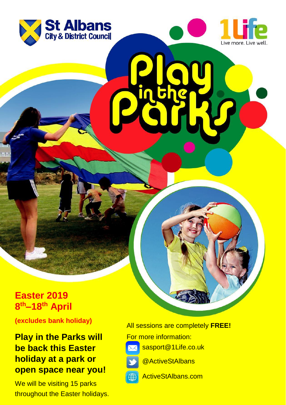



**Easter 2019 8 th–18th April**

**(excludes bank holiday)**

## **Play in the Parks will be back this Easter holiday at a park or open space near you!**

We will be visiting 15 parks throughout the Easter holidays. All sessions are completely **FREE!**

For more information:



sasport@1Life.co.uk



@ActiveStAlbans



ActiveStAlbans.com